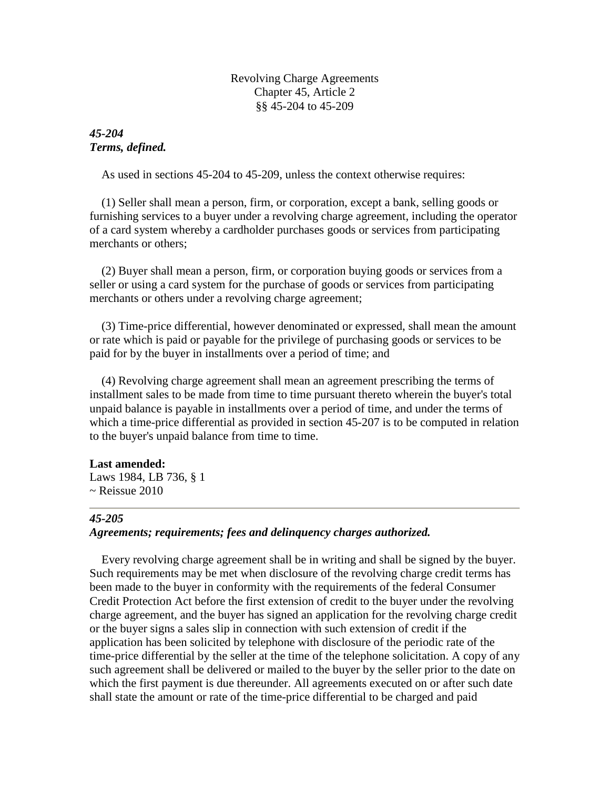Revolving Charge Agreements Chapter 45, Article 2 §§ 45-204 to 45-209

# *45-204 Terms, defined.*

As used in sections 45-204 to 45-209, unless the context otherwise requires:

 (1) Seller shall mean a person, firm, or corporation, except a bank, selling goods or furnishing services to a buyer under a revolving charge agreement, including the operator of a card system whereby a cardholder purchases goods or services from participating merchants or others;

 (2) Buyer shall mean a person, firm, or corporation buying goods or services from a seller or using a card system for the purchase of goods or services from participating merchants or others under a revolving charge agreement;

 (3) Time-price differential, however denominated or expressed, shall mean the amount or rate which is paid or payable for the privilege of purchasing goods or services to be paid for by the buyer in installments over a period of time; and

 (4) Revolving charge agreement shall mean an agreement prescribing the terms of installment sales to be made from time to time pursuant thereto wherein the buyer's total unpaid balance is payable in installments over a period of time, and under the terms of which a time-price differential as provided in section 45-207 is to be computed in relation to the buyer's unpaid balance from time to time.

### **Last amended:**

Laws 1984, LB 736, § 1  $\sim$  Reissue 2010

### *45-205*

# *Agreements; requirements; fees and delinquency charges authorized.*

 Every revolving charge agreement shall be in writing and shall be signed by the buyer. Such requirements may be met when disclosure of the revolving charge credit terms has been made to the buyer in conformity with the requirements of the federal Consumer Credit Protection Act before the first extension of credit to the buyer under the revolving charge agreement, and the buyer has signed an application for the revolving charge credit or the buyer signs a sales slip in connection with such extension of credit if the application has been solicited by telephone with disclosure of the periodic rate of the time-price differential by the seller at the time of the telephone solicitation. A copy of any such agreement shall be delivered or mailed to the buyer by the seller prior to the date on which the first payment is due thereunder. All agreements executed on or after such date shall state the amount or rate of the time-price differential to be charged and paid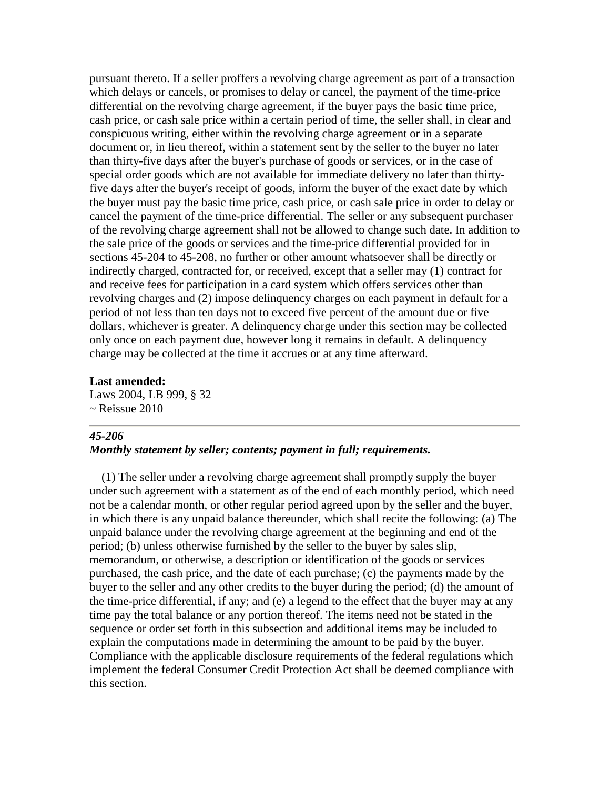pursuant thereto. If a seller proffers a revolving charge agreement as part of a transaction which delays or cancels, or promises to delay or cancel, the payment of the time-price differential on the revolving charge agreement, if the buyer pays the basic time price, cash price, or cash sale price within a certain period of time, the seller shall, in clear and conspicuous writing, either within the revolving charge agreement or in a separate document or, in lieu thereof, within a statement sent by the seller to the buyer no later than thirty-five days after the buyer's purchase of goods or services, or in the case of special order goods which are not available for immediate delivery no later than thirtyfive days after the buyer's receipt of goods, inform the buyer of the exact date by which the buyer must pay the basic time price, cash price, or cash sale price in order to delay or cancel the payment of the time-price differential. The seller or any subsequent purchaser of the revolving charge agreement shall not be allowed to change such date. In addition to the sale price of the goods or services and the time-price differential provided for in sections 45-204 to 45-208, no further or other amount whatsoever shall be directly or indirectly charged, contracted for, or received, except that a seller may (1) contract for and receive fees for participation in a card system which offers services other than revolving charges and (2) impose delinquency charges on each payment in default for a period of not less than ten days not to exceed five percent of the amount due or five dollars, whichever is greater. A delinquency charge under this section may be collected only once on each payment due, however long it remains in default. A delinquency charge may be collected at the time it accrues or at any time afterward.

### **Last amended:**

Laws 2004, LB 999, § 32  $\sim$  Reissue 2010

### *45-206*

## *Monthly statement by seller; contents; payment in full; requirements.*

 (1) The seller under a revolving charge agreement shall promptly supply the buyer under such agreement with a statement as of the end of each monthly period, which need not be a calendar month, or other regular period agreed upon by the seller and the buyer, in which there is any unpaid balance thereunder, which shall recite the following: (a) The unpaid balance under the revolving charge agreement at the beginning and end of the period; (b) unless otherwise furnished by the seller to the buyer by sales slip, memorandum, or otherwise, a description or identification of the goods or services purchased, the cash price, and the date of each purchase; (c) the payments made by the buyer to the seller and any other credits to the buyer during the period; (d) the amount of the time-price differential, if any; and (e) a legend to the effect that the buyer may at any time pay the total balance or any portion thereof. The items need not be stated in the sequence or order set forth in this subsection and additional items may be included to explain the computations made in determining the amount to be paid by the buyer. Compliance with the applicable disclosure requirements of the federal regulations which implement the federal Consumer Credit Protection Act shall be deemed compliance with this section.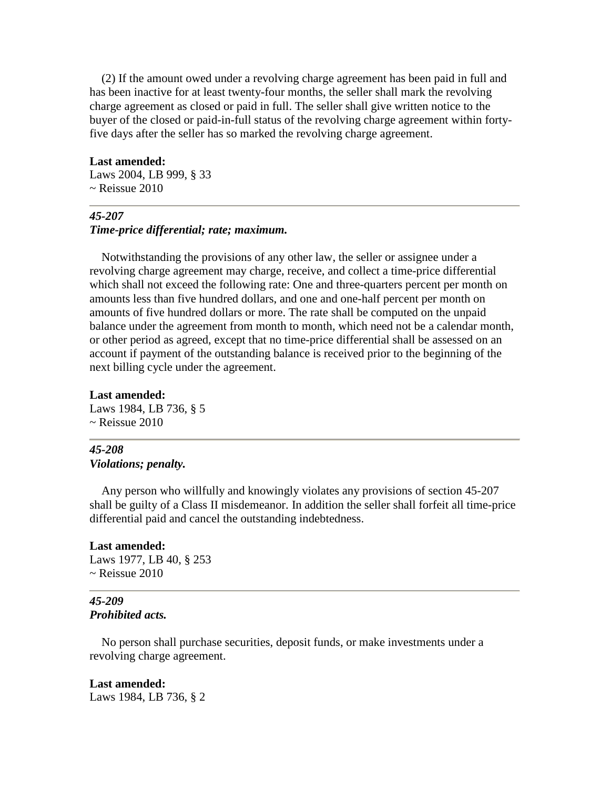(2) If the amount owed under a revolving charge agreement has been paid in full and has been inactive for at least twenty-four months, the seller shall mark the revolving charge agreement as closed or paid in full. The seller shall give written notice to the buyer of the closed or paid-in-full status of the revolving charge agreement within fortyfive days after the seller has so marked the revolving charge agreement.

### **Last amended:**

Laws 2004, LB 999, § 33  $\sim$  Reissue 2010

## *45-207*

# *Time-price differential; rate; maximum.*

 Notwithstanding the provisions of any other law, the seller or assignee under a revolving charge agreement may charge, receive, and collect a time-price differential which shall not exceed the following rate: One and three-quarters percent per month on amounts less than five hundred dollars, and one and one-half percent per month on amounts of five hundred dollars or more. The rate shall be computed on the unpaid balance under the agreement from month to month, which need not be a calendar month, or other period as agreed, except that no time-price differential shall be assessed on an account if payment of the outstanding balance is received prior to the beginning of the next billing cycle under the agreement.

# **Last amended:**

Laws 1984, LB 736, § 5  $\sim$  Reissue 2010

## *45-208 Violations; penalty.*

 Any person who willfully and knowingly violates any provisions of section 45-207 shall be guilty of a Class II misdemeanor. In addition the seller shall forfeit all time-price differential paid and cancel the outstanding indebtedness.

### **Last amended:**

Laws 1977, LB 40, § 253  $\sim$  Reissue 2010

## *45-209 Prohibited acts.*

 No person shall purchase securities, deposit funds, or make investments under a revolving charge agreement.

## **Last amended:** Laws 1984, LB 736, § 2